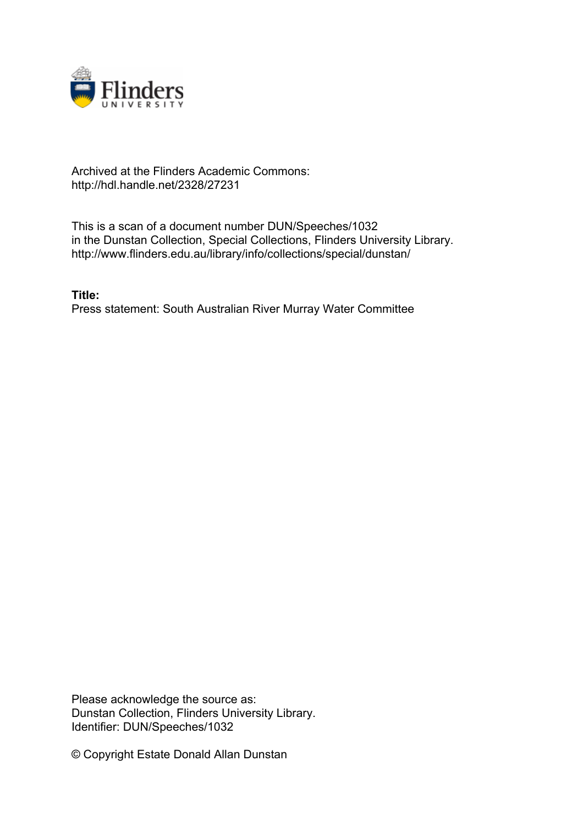

## Archived at the Flinders Academic Commons: http://hdl.handle.net/2328/27231

This is a scan of a document number DUN/Speeches/1032 in the Dunstan Collection, Special Collections, Flinders University Library. http://www.flinders.edu.au/library/info/collections/special/dunstan/

**Title:** Press statement: South Australian River Murray Water Committee

Please acknowledge the source as: Dunstan Collection, Flinders University Library. Identifier: DUN/Speeches/1032

© Copyright Estate Donald Allan Dunstan